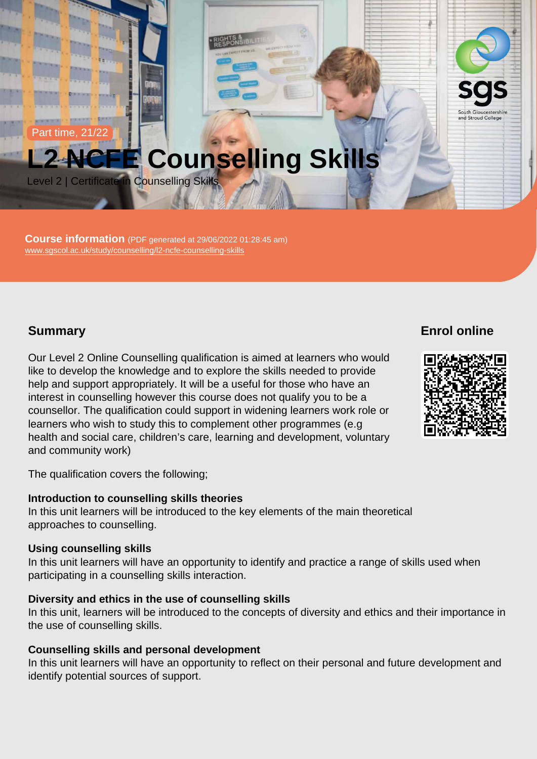Part time, 21/22

# L2 NCFE Counselling Skills

Level 2 | Certificate in Counselling Skills

Course information (PDF generated at 29/06/2022 01:28:45 am) [www.sgscol.ac.uk/study/counselling/l2-ncfe-counselling-skills](https://www.sgscol.ac.uk/study/counselling/l2-ncfe-counselling-skills)

### **Summary**

Our Level 2 Online Counselling qualification is aimed at learners who would like to develop the knowledge and to explore the skills needed to provide help and support appropriately. It will be a useful for those who have an interest in counselling however this course does not qualify you to be a counsellor. The qualification could support in widening learners work role or learners who wish to study this to complement other programmes (e.g health and social care, children's care, learning and development, voluntary and community work)

The qualification covers the following;

Introduction to counselling skills theories In this unit learners will be introduced to the key elements of the main theoretical approaches to counselling.

Using counselling skills

In this unit learners will have an opportunity to identify and practice a range of skills used when participating in a counselling skills interaction.

Diversity and ethics in the use of counselling skills In this unit, learners will be introduced to the concepts of diversity and ethics and their importance in the use of counselling skills.

Counselling skills and personal development In this unit learners will have an opportunity to reflect on their personal and future development and identify potential sources of support.

Enrol online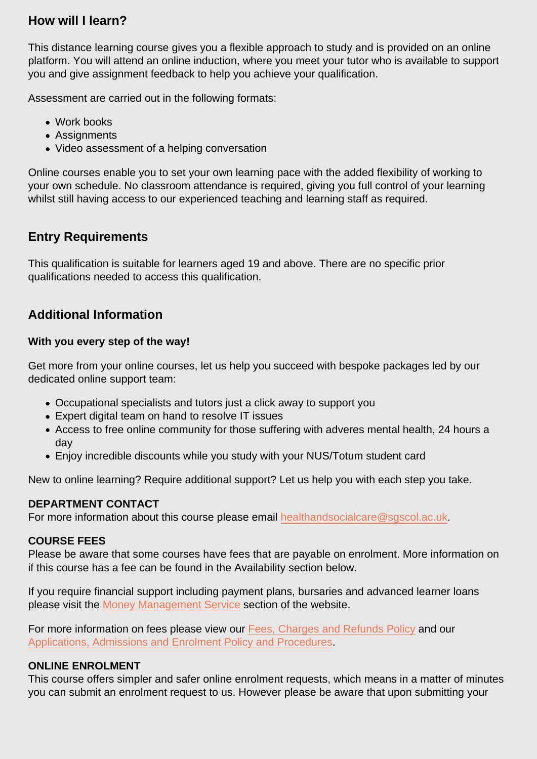# How will I learn?

This distance learning course gives you a flexible approach to study and is provided on an online platform. You will attend an online induction, where you meet your tutor who is available to support you and give assignment feedback to help you achieve your qualification.

Assessment are carried out in the following formats:

- Work books
- Assignments
- Video assessment of a helping conversation

Online courses enable you to set your own learning pace with the added flexibility of working to your own schedule. No classroom attendance is required, giving you full control of your learning whilst still having access to our experienced teaching and learning staff as required.

## Entry Requirements

This qualification is suitable for learners aged 19 and above. There are no specific prior qualifications needed to access this qualification.

# Additional Information

With you every step of the way!

Get more from your online courses, let us help you succeed with bespoke packages led by our dedicated online support team:

- Occupational specialists and tutors just a click away to support you
- Expert digital team on hand to resolve IT issues
- Access to free online community for those suffering with adveres mental health, 24 hours a day
- Enjoy incredible discounts while you study with your NUS/Totum student card

New to online learning? Require additional support? Let us help you with each step you take.

#### DEPARTMENT CONTACT

For more information about this course please email [healthandsocialcare@sgscol.ac.uk](mailto:healthandsocialcare@sgscol.ac.uk).

#### COURSE FEES

Please be aware that some courses have fees that are payable on enrolment. More information on if this course has a fee can be found in the Availability section below.

If you require financial support including payment plans, bursaries and advanced learner loans please visit the [Money Management Service](http://www.sgscol.ac.uk/mms) section of the website.

For more information on fees please view our [Fees, Charges and Refunds Policy](https://www.sgscol.ac.uk/policies) and our [Applications, Admissions and Enrolment Policy and Procedures.](https://www.sgscol.ac.uk/policies)

### ONLINE ENROLMENT

This course offers simpler and safer online enrolment requests, which means in a matter of minutes you can submit an enrolment request to us. However please be aware that upon submitting your